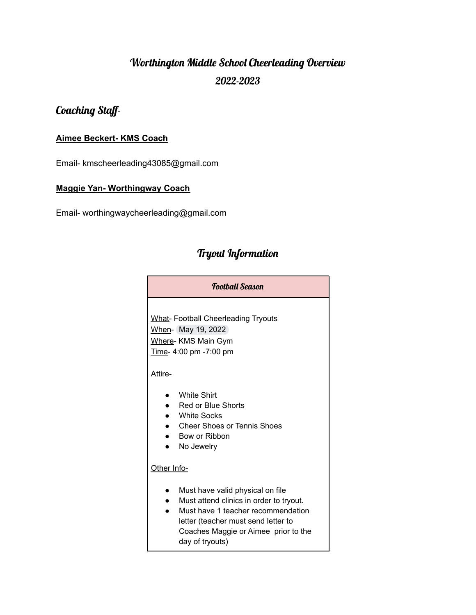# Worthington Middle School Cheerleading Overview 2022-2023

# Coaching Staff-

#### **Aimee Beckert- KMS Coach**

Email- kmscheerleading43085@gmail.com

#### **Maggie Yan- Worthingway Coach**

Email- worthingwaycheerleading@gmail.com

# Tryout Information

| Football Season                                                     |                                                                                                                                                                                                                     |  |
|---------------------------------------------------------------------|---------------------------------------------------------------------------------------------------------------------------------------------------------------------------------------------------------------------|--|
| When- May 19, 2022<br>Where- KMS Main Gym<br>Time- 4:00 pm -7:00 pm | <b>What-Football Cheerleading Tryouts</b>                                                                                                                                                                           |  |
| <u>Attire-</u>                                                      |                                                                                                                                                                                                                     |  |
| n<br>$\bullet$                                                      | <b>White Shirt</b><br>Red or Blue Shorts<br><b>White Socks</b><br><b>Cheer Shoes or Tennis Shoes</b><br>Bow or Ribbon<br>No Jewelry                                                                                 |  |
| Other Info-                                                         |                                                                                                                                                                                                                     |  |
|                                                                     | Must have valid physical on file<br>Must attend clinics in order to tryout.<br>Must have 1 teacher recommendation<br>letter (teacher must send letter to<br>Coaches Maggie or Aimee prior to the<br>day of tryouts) |  |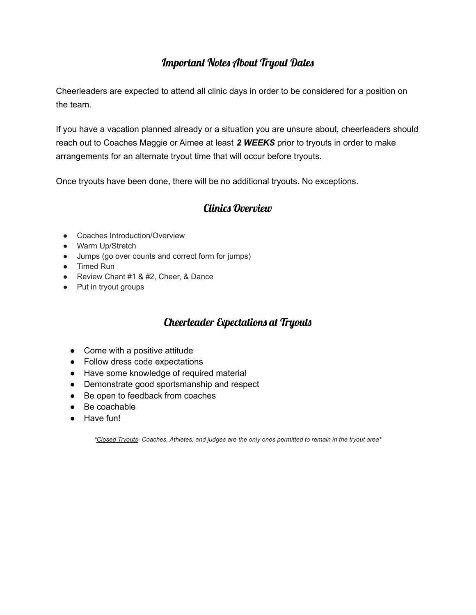## Important Notes About Tryout Dates

Cheerleaders are expected to attend all clinic days in order to be considered for a position on the team.

If you have a vacation planned already or a situation you are unsure about, cheerleaders should reach out to Coaches Maggie or Aimee at least *2 WEEKS* prior to tryouts in order to make arrangements for an alternate tryout time that will occur before tryouts.

Once tryouts have been done, there will be no additional tryouts. No exceptions.

### Clinics Overview

- Coaches Introduction/Overview
- Warm Up/Stretch
- Jumps (go over counts and correct form for jumps)
- Timed Run
- Review Chant #1 & #2, Cheer, & Dance
- Put in tryout groups

## Cheerleader Expectations at Tryouts

- Come with a positive attitude
- Follow dress code expectations
- Have some knowledge of required material
- Demonstrate good sportsmanship and respect
- Be open to feedback from coaches
- Be coachable
- Have fun!

*\*Closed Tryouts- Coaches, Athletes, and judges are the only ones permitted to remain in the tryout area\**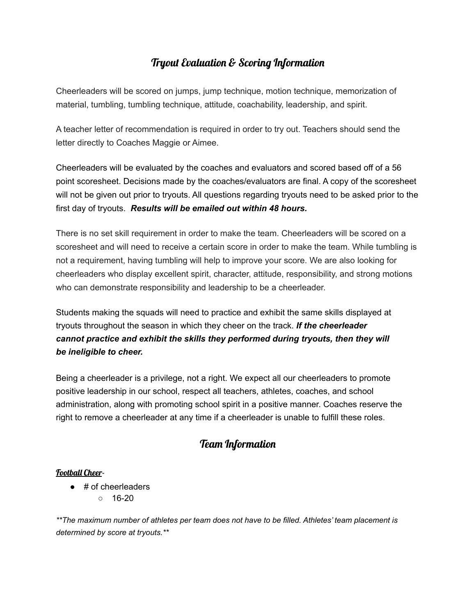# Tryout Evaluation & Scoring Information

Cheerleaders will be scored on jumps, jump technique, motion technique, memorization of material, tumbling, tumbling technique, attitude, coachability, leadership, and spirit.

A teacher letter of recommendation is required in order to try out. Teachers should send the letter directly to Coaches Maggie or Aimee.

Cheerleaders will be evaluated by the coaches and evaluators and scored based off of a 56 point scoresheet. Decisions made by the coaches/evaluators are final. A copy of the scoresheet will not be given out prior to tryouts. All questions regarding tryouts need to be asked prior to the first day of tryouts. *Results will be emailed out within 48 hours.*

There is no set skill requirement in order to make the team. Cheerleaders will be scored on a scoresheet and will need to receive a certain score in order to make the team. While tumbling is not a requirement, having tumbling will help to improve your score. We are also looking for cheerleaders who display excellent spirit, character, attitude, responsibility, and strong motions who can demonstrate responsibility and leadership to be a cheerleader.

Students making the squads will need to practice and exhibit the same skills displayed at tryouts throughout the season in which they cheer on the track. *If the cheerleader cannot practice and exhibit the skills they performed during tryouts, then they will be ineligible to cheer.*

Being a cheerleader is a privilege, not a right. We expect all our cheerleaders to promote positive leadership in our school, respect all teachers, athletes, coaches, and school administration, along with promoting school spirit in a positive manner. Coaches reserve the right to remove a cheerleader at any time if a cheerleader is unable to fulfill these roles.

## Team Information

#### Football Cheer-

- # of cheerleaders
	- $\circ$  16-20

*\*\*The maximum number of athletes per team does not have to be filled. Athletes' team placement is determined by score at tryouts.\*\**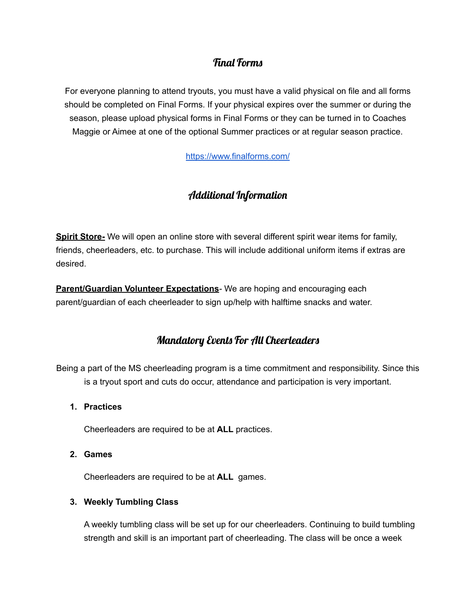# Final Forms

For everyone planning to attend tryouts, you must have a valid physical on file and all forms should be completed on Final Forms. If your physical expires over the summer or during the season, please upload physical forms in Final Forms or they can be turned in to Coaches Maggie or Aimee at one of the optional Summer practices or at regular season practice.

<https://www.finalforms.com/>

# Additional Information

**Spirit Store-** We will open an online store with several different spirit wear items for family, friends, cheerleaders, etc. to purchase. This will include additional uniform items if extras are desired.

**Parent/Guardian Volunteer Expectations***-* We are hoping and encouraging each parent/guardian of each cheerleader to sign up/help with halftime snacks and water.

## Mandatory Events For All Cheerleaders

Being a part of the MS cheerleading program is a time commitment and responsibility. Since this is a tryout sport and cuts do occur, attendance and participation is very important.

**1. Practices**

Cheerleaders are required to be at **ALL** practices.

**2. Games**

Cheerleaders are required to be at **ALL** games.

#### **3. Weekly Tumbling Class**

A weekly tumbling class will be set up for our cheerleaders. Continuing to build tumbling strength and skill is an important part of cheerleading. The class will be once a week